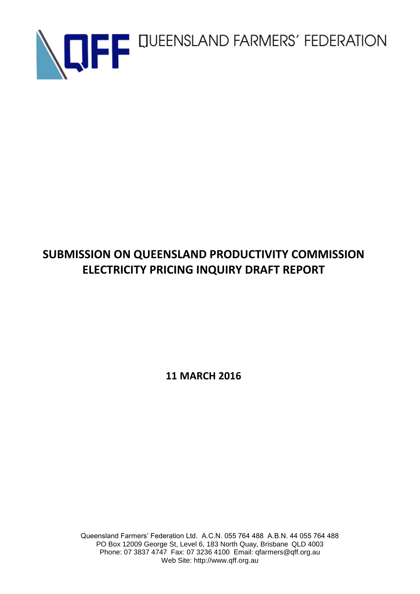

# **SUBMISSION ON QUEENSLAND PRODUCTIVITY COMMISSION ELECTRICITY PRICING INQUIRY DRAFT REPORT**

**11 MARCH 2016**

Queensland Farmers' Federation Ltd. A.C.N. 055 764 488 A.B.N. 44 055 764 488 PO Box 12009 George St, Level 6, 183 North Quay, Brisbane QLD 4003 Phone: 07 3837 4747 Fax: 07 3236 4100 Email: qfarmers@qff.org.au Web Site: http://www.qff.org.au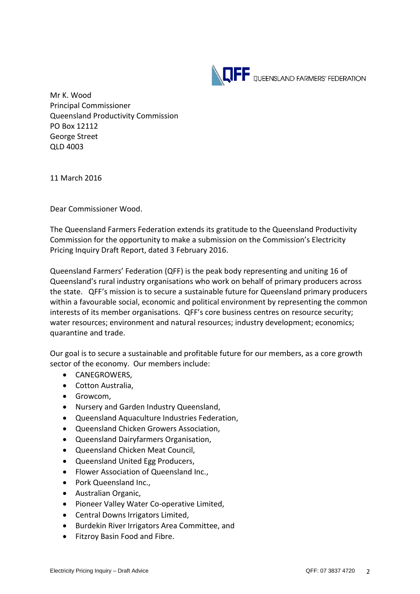

Mr K. Wood Principal Commissioner Queensland Productivity Commission PO Box 12112 George Street QLD 4003

11 March 2016

Dear Commissioner Wood.

The Queensland Farmers Federation extends its gratitude to the Queensland Productivity Commission for the opportunity to make a submission on the Commission's Electricity Pricing Inquiry Draft Report, dated 3 February 2016.

Queensland Farmers' Federation (QFF) is the peak body representing and uniting 16 of Queensland's rural industry organisations who work on behalf of primary producers across the state. QFF's mission is to secure a sustainable future for Queensland primary producers within a favourable social, economic and political environment by representing the common interests of its member organisations. QFF's core business centres on resource security; water resources; environment and natural resources; industry development; economics; quarantine and trade.

Our goal is to secure a sustainable and profitable future for our members, as a core growth sector of the economy. Our members include:

- CANEGROWERS,
- Cotton Australia,
- **•** Growcom,
- Nursery and Garden Industry Queensland,
- Queensland Aquaculture Industries Federation,
- Queensland Chicken Growers Association,
- Queensland Dairyfarmers Organisation,
- Queensland Chicken Meat Council,
- Queensland United Egg Producers,
- Flower Association of Queensland Inc.,
- Pork Queensland Inc.,
- Australian Organic,
- Pioneer Valley Water Co-operative Limited,
- Central Downs Irrigators Limited,
- Burdekin River Irrigators Area Committee, and
- Fitzroy Basin Food and Fibre.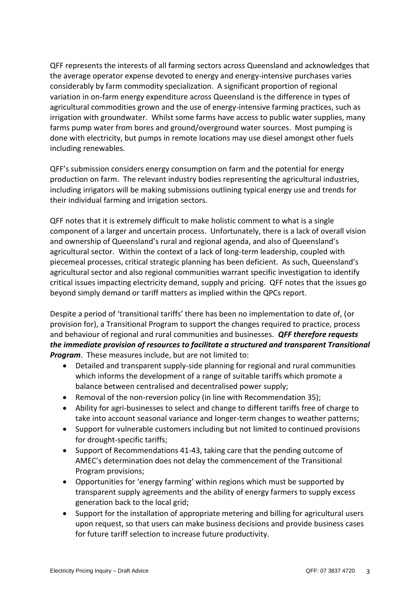QFF represents the interests of all farming sectors across Queensland and acknowledges that the average operator expense devoted to energy and energy-intensive purchases varies considerably by farm commodity specialization. A significant proportion of regional variation in on-farm energy expenditure across Queensland is the difference in types of agricultural commodities grown and the use of energy-intensive farming practices, such as irrigation with groundwater. Whilst some farms have access to public water supplies, many farms pump water from bores and ground/overground water sources. Most pumping is done with electricity, but pumps in remote locations may use diesel amongst other fuels including renewables.

QFF's submission considers energy consumption on farm and the potential for energy production on farm. The relevant industry bodies representing the agricultural industries, including irrigators will be making submissions outlining typical energy use and trends for their individual farming and irrigation sectors.

QFF notes that it is extremely difficult to make holistic comment to what is a single component of a larger and uncertain process. Unfortunately, there is a lack of overall vision and ownership of Queensland's rural and regional agenda, and also of Queensland's agricultural sector. Within the context of a lack of long-term leadership, coupled with piecemeal processes, critical strategic planning has been deficient. As such, Queensland's agricultural sector and also regional communities warrant specific investigation to identify critical issues impacting electricity demand, supply and pricing. QFF notes that the issues go beyond simply demand or tariff matters as implied within the QPCs report.

Despite a period of 'transitional tariffs' there has been no implementation to date of, (or provision for), a Transitional Program to support the changes required to practice, process and behaviour of regional and rural communities and businesses. *QFF therefore requests the immediate provision of resources to facilitate a structured and transparent Transitional Program*. These measures include, but are not limited to:

- Detailed and transparent supply-side planning for regional and rural communities which informs the development of a range of suitable tariffs which promote a balance between centralised and decentralised power supply;
- Removal of the non-reversion policy (in line with Recommendation 35);
- Ability for agri-businesses to select and change to different tariffs free of charge to take into account seasonal variance and longer-term changes to weather patterns;
- Support for vulnerable customers including but not limited to continued provisions for drought-specific tariffs;
- Support of Recommendations 41-43, taking care that the pending outcome of AMEC's determination does not delay the commencement of the Transitional Program provisions;
- Opportunities for 'energy farming' within regions which must be supported by transparent supply agreements and the ability of energy farmers to supply excess generation back to the local grid;
- Support for the installation of appropriate metering and billing for agricultural users upon request, so that users can make business decisions and provide business cases for future tariff selection to increase future productivity.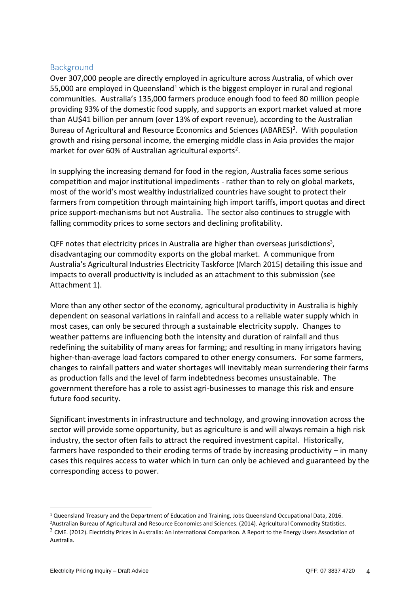### **Background**

Over 307,000 people are directly employed in agriculture across Australia, of which over 55,000 are employed in Queensland<sup>1</sup> which is the biggest employer in rural and regional communities. Australia's 135,000 farmers produce enough food to feed 80 million people providing 93% of the domestic food supply, and supports an export market valued at more than AU\$41 billion per annum (over 13% of export revenue), according to the Australian Bureau of Agricultural and Resource Economics and Sciences (ABARES)<sup>2</sup>. With population growth and rising personal income, the emerging middle class in Asia provides the major market for over 60% of Australian agricultural exports<sup>2</sup>.

In supplying the increasing demand for food in the region, Australia faces some serious competition and major institutional impediments - rather than to rely on global markets, most of the world's most wealthy industrialized countries have sought to protect their farmers from competition through maintaining high import tariffs, import quotas and direct price support-mechanisms but not Australia. The sector also continues to struggle with falling commodity prices to some sectors and declining profitability.

QFF notes that electricity prices in Australia are higher than overseas jurisdictions<sup>3</sup>, disadvantaging our commodity exports on the global market. A communique from Australia's Agricultural Industries Electricity Taskforce (March 2015) detailing this issue and impacts to overall productivity is included as an attachment to this submission (see Attachment 1).

More than any other sector of the economy, agricultural productivity in Australia is highly dependent on seasonal variations in rainfall and access to a reliable water supply which in most cases, can only be secured through a sustainable electricity supply. Changes to weather patterns are influencing both the intensity and duration of rainfall and thus redefining the suitability of many areas for farming; and resulting in many irrigators having higher-than-average load factors compared to other energy consumers. For some farmers, changes to rainfall patters and water shortages will inevitably mean surrendering their farms as production falls and the level of farm indebtedness becomes unsustainable. The government therefore has a role to assist agri-businesses to manage this risk and ensure future food security.

Significant investments in infrastructure and technology, and growing innovation across the sector will provide some opportunity, but as agriculture is and will always remain a high risk industry, the sector often fails to attract the required investment capital. Historically, farmers have responded to their eroding terms of trade by increasing productivity – in many cases this requires access to water which in turn can only be achieved and guaranteed by the corresponding access to power.

<sup>1</sup> Queensland Treasury and the Department of Education and Training, Jobs Queensland Occupational Data, 2016.

<sup>2</sup>Australian Bureau of Agricultural and Resource Economics and Sciences. (2014). Agricultural Commodity Statistics.  $^3$  CME. (2012). Electricity Prices in Australia: An International Comparison. A Report to the Energy Users Association of

Australia.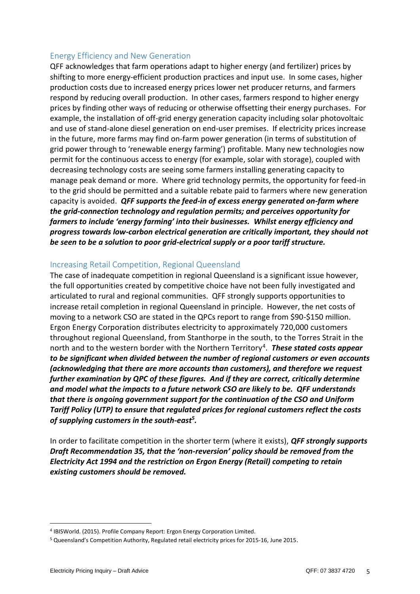#### Energy Efficiency and New Generation

QFF acknowledges that farm operations adapt to higher energy (and fertilizer) prices by shifting to more energy-efficient production practices and input use. In some cases, higher production costs due to increased energy prices lower net producer returns, and farmers respond by reducing overall production. In other cases, farmers respond to higher energy prices by finding other ways of reducing or otherwise offsetting their energy purchases. For example, the installation of off-grid energy generation capacity including solar photovoltaic and use of stand-alone diesel generation on end-user premises. If electricity prices increase in the future, more farms may find on-farm power generation (in terms of substitution of grid power through to 'renewable energy farming') profitable. Many new technologies now permit for the continuous access to energy (for example, solar with storage), coupled with decreasing technology costs are seeing some farmers installing generating capacity to manage peak demand or more. Where grid technology permits, the opportunity for feed-in to the grid should be permitted and a suitable rebate paid to farmers where new generation capacity is avoided. *QFF supports the feed-in of excess energy generated on-farm where the grid-connection technology and regulation permits; and perceives opportunity for farmers to include 'energy farming' into their businesses. Whilst energy efficiency and progress towards low-carbon electrical generation are critically important, they should not be seen to be a solution to poor grid-electrical supply or a poor tariff structure.* 

## Increasing Retail Competition, Regional Queensland

The case of inadequate competition in regional Queensland is a significant issue however, the full opportunities created by competitive choice have not been fully investigated and articulated to rural and regional communities. QFF strongly supports opportunities to increase retail completion in regional Queensland in principle. However, the net costs of moving to a network CSO are stated in the QPCs report to range from \$90-\$150 million. Ergon Energy Corporation distributes electricity to approximately 720,000 customers throughout regional Queensland, from Stanthorpe in the south, to the Torres Strait in the north and to the western border with the Northern Territory<sup>4</sup>. These stated costs appear *to be significant when divided between the number of regional customers or even accounts (acknowledging that there are more accounts than customers), and therefore we request further examination by QPC of these figures. And if they are correct, critically determine and model what the impacts to a future network CSO are likely to be. QFF understands that there is ongoing government support for the continuation of the CSO and Uniform Tariff Policy (UTP) to ensure that regulated prices for regional customers reflect the costs of supplying customers in the south-east<sup>5</sup> .* 

In order to facilitate competition in the shorter term (where it exists), *QFF strongly supports Draft Recommendation 35, that the 'non-reversion' policy should be removed from the Electricity Act 1994 and the restriction on Ergon Energy (Retail) competing to retain existing customers should be removed.*

<sup>4</sup> IBISWorld. (2015). Profile Company Report: Ergon Energy Corporation Limited.

<sup>5</sup> Queensland's Competition Authority, Regulated retail electricity prices for 2015-16, June 2015.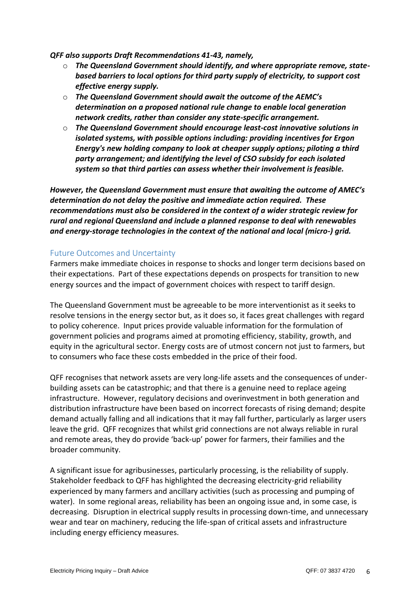*QFF also supports Draft Recommendations 41-43, namely,* 

- o *The Queensland Government should identify, and where appropriate remove, statebased barriers to local options for third party supply of electricity, to support cost effective energy supply.*
- o *The Queensland Government should await the outcome of the AEMC's determination on a proposed national rule change to enable local generation network credits, rather than consider any state-specific arrangement.*
- o *The Queensland Government should encourage least-cost innovative solutions in isolated systems, with possible options including: providing incentives for Ergon Energy's new holding company to look at cheaper supply options; piloting a third party arrangement; and identifying the level of CSO subsidy for each isolated system so that third parties can assess whether their involvement is feasible.*

*However, the Queensland Government must ensure that awaiting the outcome of AMEC's determination do not delay the positive and immediate action required. These recommendations must also be considered in the context of a wider strategic review for rural and regional Queensland and include a planned response to deal with renewables and energy-storage technologies in the context of the national and local (micro-) grid.* 

#### Future Outcomes and Uncertainty

Farmers make immediate choices in response to shocks and longer term decisions based on their expectations. Part of these expectations depends on prospects for transition to new energy sources and the impact of government choices with respect to tariff design.

The Queensland Government must be agreeable to be more interventionist as it seeks to resolve tensions in the energy sector but, as it does so, it faces great challenges with regard to policy coherence. Input prices provide valuable information for the formulation of government policies and programs aimed at promoting efficiency, stability, growth, and equity in the agricultural sector. Energy costs are of utmost concern not just to farmers, but to consumers who face these costs embedded in the price of their food.

QFF recognises that network assets are very long-life assets and the consequences of underbuilding assets can be catastrophic; and that there is a genuine need to replace ageing infrastructure. However, regulatory decisions and overinvestment in both generation and distribution infrastructure have been based on incorrect forecasts of rising demand; despite demand actually falling and all indications that it may fall further, particularly as larger users leave the grid. QFF recognizes that whilst grid connections are not always reliable in rural and remote areas, they do provide 'back-up' power for farmers, their families and the broader community.

A significant issue for agribusinesses, particularly processing, is the reliability of supply. Stakeholder feedback to QFF has highlighted the decreasing electricity-grid reliability experienced by many farmers and ancillary activities (such as processing and pumping of water). In some regional areas, reliability has been an ongoing issue and, in some case, is decreasing. Disruption in electrical supply results in processing down-time, and unnecessary wear and tear on machinery, reducing the life-span of critical assets and infrastructure including energy efficiency measures.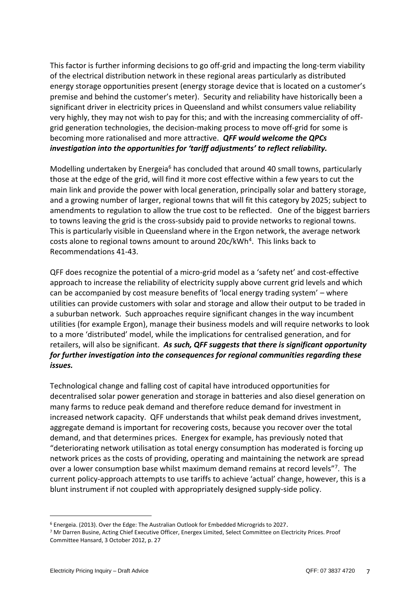This factor is further informing decisions to go off-grid and impacting the long-term viability of the electrical distribution network in these regional areas particularly as distributed energy storage opportunities present (energy storage device that is located on a customer's premise and behind the customer's meter). Security and reliability have historically been a significant driver in electricity prices in Queensland and whilst consumers value reliability very highly, they may not wish to pay for this; and with the increasing commerciality of offgrid generation technologies, the decision-making process to move off-grid for some is becoming more rationalised and more attractive. *QFF would welcome the QPCs investigation into the opportunities for 'tariff adjustments' to reflect reliability.*

Modelling undertaken by Energeia<sup>6</sup> has concluded that around 40 small towns, particularly those at the edge of the grid, will find it more cost effective within a few years to cut the main link and provide the power with local generation, principally solar and battery storage, and a growing number of larger, regional towns that will fit this category by 2025; subject to amendments to regulation to allow the true cost to be reflected. One of the biggest barriers to towns leaving the grid is the cross-subsidy paid to provide networks to regional towns. This is particularly visible in Queensland where in the Ergon network, the average network costs alone to regional towns amount to around 20c/kWh<sup>4</sup>. This links back to Recommendations 41-43.

QFF does recognize the potential of a micro-grid model as a 'safety net' and cost-effective approach to increase the reliability of electricity supply above current grid levels and which can be accompanied by cost measure benefits of 'local energy trading system' – where utilities can provide customers with solar and storage and allow their output to be traded in a suburban network. Such approaches require significant changes in the way incumbent utilities (for example Ergon), manage their business models and will require networks to look to a more 'distributed' model, while the implications for centralised generation, and for retailers, will also be significant. *As such, QFF suggests that there is significant opportunity for further investigation into the consequences for regional communities regarding these issues.* 

Technological change and falling cost of capital have introduced opportunities for decentralised solar power generation and storage in batteries and also diesel generation on many farms to reduce peak demand and therefore reduce demand for investment in increased network capacity. QFF understands that whilst peak demand drives investment, aggregate demand is important for recovering costs, because you recover over the total demand, and that determines prices. Energex for example, has previously noted that "deteriorating network utilisation as total energy consumption has moderated is forcing up network prices as the costs of providing, operating and maintaining the network are spread over a lower consumption base whilst maximum demand remains at record levels"<sup>7</sup>. The current policy-approach attempts to use tariffs to achieve 'actual' change, however, this is a blunt instrument if not coupled with appropriately designed supply-side policy.

<sup>6</sup> Energeia. (2013). Over the Edge: The Australian Outlook for Embedded Microgrids to 2027.

<sup>7</sup> Mr Darren Busine, Acting Chief Executive Officer, Energex Limited, Select Committee on Electricity Prices. Proof Committee Hansard, 3 October 2012, p. 27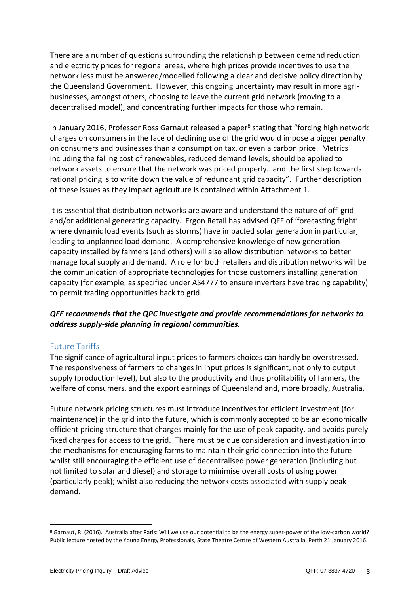There are a number of questions surrounding the relationship between demand reduction and electricity prices for regional areas, where high prices provide incentives to use the network less must be answered/modelled following a clear and decisive policy direction by the Queensland Government. However, this ongoing uncertainty may result in more agribusinesses, amongst others, choosing to leave the current grid network (moving to a decentralised model), and concentrating further impacts for those who remain.

In January 2016, Professor Ross Garnaut released a paper<sup>8</sup> stating that "forcing high network charges on consumers in the face of declining use of the grid would impose a bigger penalty on consumers and businesses than a consumption tax, or even a carbon price. Metrics including the falling cost of renewables, reduced demand levels, should be applied to network assets to ensure that the network was priced properly...and the first step towards rational pricing is to write down the value of redundant grid capacity". Further description of these issues as they impact agriculture is contained within Attachment 1.

It is essential that distribution networks are aware and understand the nature of off-grid and/or additional generating capacity. Ergon Retail has advised QFF of 'forecasting fright' where dynamic load events (such as storms) have impacted solar generation in particular, leading to unplanned load demand. A comprehensive knowledge of new generation capacity installed by farmers (and others) will also allow distribution networks to better manage local supply and demand. A role for both retailers and distribution networks will be the communication of appropriate technologies for those customers installing generation capacity (for example, as specified under AS4777 to ensure inverters have trading capability) to permit trading opportunities back to grid.

# *QFF recommends that the QPC investigate and provide recommendations for networks to address supply-side planning in regional communities.*

## Future Tariffs

The significance of agricultural input prices to farmers choices can hardly be overstressed. The responsiveness of farmers to changes in input prices is significant, not only to output supply (production level), but also to the productivity and thus profitability of farmers, the welfare of consumers, and the export earnings of Queensland and, more broadly, Australia.

Future network pricing structures must introduce incentives for efficient investment (for maintenance) in the grid into the future, which is commonly accepted to be an economically efficient pricing structure that charges mainly for the use of peak capacity, and avoids purely fixed charges for access to the grid. There must be due consideration and investigation into the mechanisms for encouraging farms to maintain their grid connection into the future whilst still encouraging the efficient use of decentralised power generation (including but not limited to solar and diesel) and storage to minimise overall costs of using power (particularly peak); whilst also reducing the network costs associated with supply peak demand.

<sup>8</sup> Garnaut, R. (2016). Australia after Paris: Will we use our potential to be the energy super-power of the low-carbon world? Public lecture hosted by the Young Energy Professionals, State Theatre Centre of Western Australia, Perth 21 January 2016.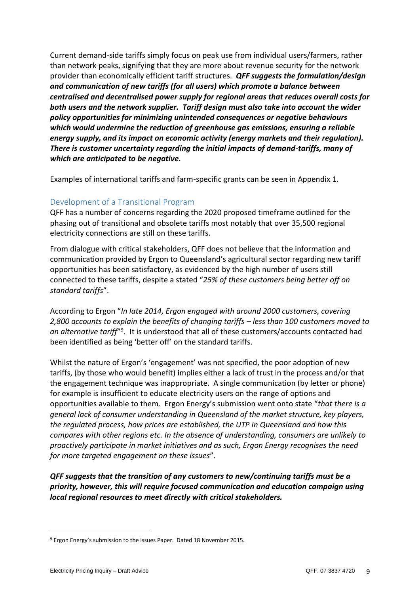Current demand-side tariffs simply focus on peak use from individual users/farmers, rather than network peaks, signifying that they are more about revenue security for the network provider than economically efficient tariff structures. *QFF suggests the formulation/design and communication of new tariffs (for all users) which promote a balance between centralised and decentralised power supply for regional areas that reduces overall costs for both users and the network supplier. Tariff design must also take into account the wider policy opportunities for minimizing unintended consequences or negative behaviours which would undermine the reduction of greenhouse gas emissions, ensuring a reliable energy supply, and its impact on economic activity (energy markets and their regulation). There is customer uncertainty regarding the initial impacts of demand-tariffs, many of which are anticipated to be negative.*

Examples of international tariffs and farm-specific grants can be seen in Appendix 1.

# Development of a Transitional Program

QFF has a number of concerns regarding the 2020 proposed timeframe outlined for the phasing out of transitional and obsolete tariffs most notably that over 35,500 regional electricity connections are still on these tariffs.

From dialogue with critical stakeholders, QFF does not believe that the information and communication provided by Ergon to Queensland's agricultural sector regarding new tariff opportunities has been satisfactory, as evidenced by the high number of users still connected to these tariffs, despite a stated "*25% of these customers being better off on standard tariffs*".

According to Ergon "*In late 2014, Ergon engaged with around 2000 customers, covering 2,800 accounts to explain the benefits of changing tariffs – less than 100 customers moved to*  an alternative tariff<sup>"9</sup>. It is understood that all of these customers/accounts contacted had been identified as being 'better off' on the standard tariffs.

Whilst the nature of Ergon's 'engagement' was not specified, the poor adoption of new tariffs, (by those who would benefit) implies either a lack of trust in the process and/or that the engagement technique was inappropriate. A single communication (by letter or phone) for example is insufficient to educate electricity users on the range of options and opportunities available to them. Ergon Energy's submission went onto state "*that there is a general lack of consumer understanding in Queensland of the market structure, key players, the regulated process, how prices are established, the UTP in Queensland and how this compares with other regions etc. In the absence of understanding, consumers are unlikely to proactively participate in market initiatives and as such, Ergon Energy recognises the need for more targeted engagement on these issues*".

*QFF suggests that the transition of any customers to new/continuing tariffs must be a priority, however, this will require focused communication and education campaign using local regional resources to meet directly with critical stakeholders.* 

<sup>9</sup> Ergon Energy's submission to the Issues Paper. Dated 18 November 2015.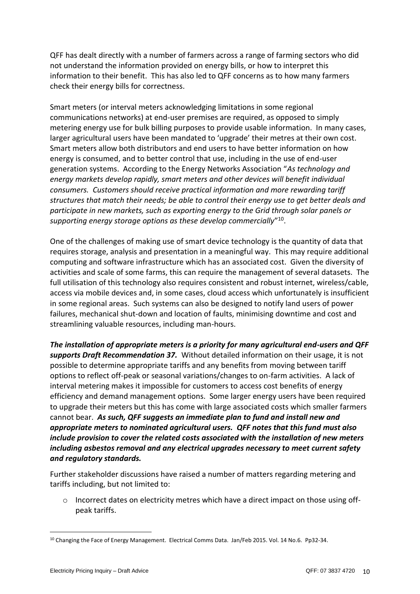QFF has dealt directly with a number of farmers across a range of farming sectors who did not understand the information provided on energy bills, or how to interpret this information to their benefit. This has also led to QFF concerns as to how many farmers check their energy bills for correctness.

Smart meters (or interval meters acknowledging limitations in some regional communications networks) at end-user premises are required, as opposed to simply metering energy use for bulk billing purposes to provide usable information. In many cases, larger agricultural users have been mandated to 'upgrade' their metres at their own cost. Smart meters allow both distributors and end users to have better information on how energy is consumed, and to better control that use, including in the use of end-user generation systems. According to the Energy Networks Association "*As technology and energy markets develop rapidly, smart meters and other devices will benefit individual consumers. Customers should receive practical information and more rewarding tariff structures that match their needs; be able to control their energy use to get better deals and participate in new markets, such as exporting energy to the Grid through solar panels or supporting energy storage options as these develop commercially*" 10 .

One of the challenges of making use of smart device technology is the quantity of data that requires storage, analysis and presentation in a meaningful way. This may require additional computing and software infrastructure which has an associated cost. Given the diversity of activities and scale of some farms, this can require the management of several datasets. The full utilisation of this technology also requires consistent and robust internet, wireless/cable, access via mobile devices and, in some cases, cloud access which unfortunately is insufficient in some regional areas. Such systems can also be designed to notify land users of power failures, mechanical shut-down and location of faults, minimising downtime and cost and streamlining valuable resources, including man-hours.

*The installation of appropriate meters is a priority for many agricultural end-users and QFF supports Draft Recommendation 37.* Without detailed information on their usage, it is not possible to determine appropriate tariffs and any benefits from moving between tariff options to reflect off-peak or seasonal variations/changes to on-farm activities. A lack of interval metering makes it impossible for customers to access cost benefits of energy efficiency and demand management options. Some larger energy users have been required to upgrade their meters but this has come with large associated costs which smaller farmers cannot bear. *As such, QFF suggests an immediate plan to fund and install new and appropriate meters to nominated agricultural users. QFF notes that this fund must also include provision to cover the related costs associated with the installation of new meters including asbestos removal and any electrical upgrades necessary to meet current safety and regulatory standards.* 

Further stakeholder discussions have raised a number of matters regarding metering and tariffs including, but not limited to:

 $\circ$  Incorrect dates on electricity metres which have a direct impact on those using offpeak tariffs.

<sup>10</sup> Changing the Face of Energy Management. Electrical Comms Data. Jan/Feb 2015. Vol. 14 No.6. Pp32-34.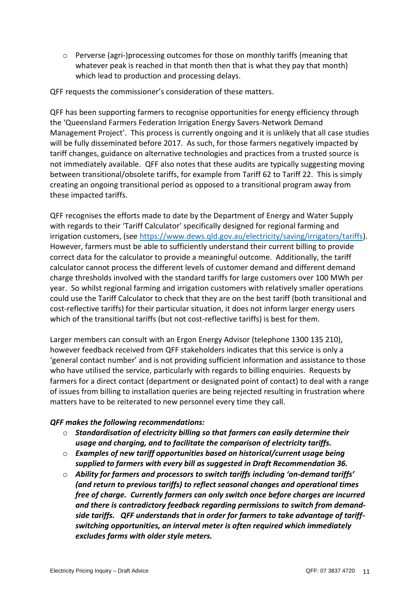$\circ$  Perverse (agri-)processing outcomes for those on monthly tariffs (meaning that whatever peak is reached in that month then that is what they pay that month) which lead to production and processing delays.

QFF requests the commissioner's consideration of these matters.

QFF has been supporting farmers to recognise opportunities for energy efficiency through the 'Queensland Farmers Federation Irrigation Energy Savers-Network Demand Management Project'. This process is currently ongoing and it is unlikely that all case studies will be fully disseminated before 2017. As such, for those farmers negatively impacted by tariff changes, guidance on alternative technologies and practices from a trusted source is not immediately available. QFF also notes that these audits are typically suggesting moving between transitional/obsolete tariffs, for example from Tariff 62 to Tariff 22. This is simply creating an ongoing transitional period as opposed to a transitional program away from these impacted tariffs.

QFF recognises the efforts made to date by the Department of Energy and Water Supply with regards to their 'Tariff Calculator' specifically designed for regional farming and irrigation customers, (see [https://www.dews.qld.gov.au/electricity/saving/irrigators/tariffs\)](https://www.dews.qld.gov.au/electricity/saving/irrigators/tariffs). However, farmers must be able to sufficiently understand their current billing to provide correct data for the calculator to provide a meaningful outcome. Additionally, the tariff calculator cannot process the different levels of customer demand and different demand charge thresholds involved with the standard tariffs for large customers over 100 MWh per year. So whilst regional farming and irrigation customers with relatively smaller operations could use the Tariff Calculator to check that they are on the best tariff (both transitional and cost-reflective tariffs) for their particular situation, it does not inform larger energy users which of the transitional tariffs (but not cost-reflective tariffs) is best for them.

Larger members can consult with an Ergon Energy Advisor (telephone 1300 135 210), however feedback received from QFF stakeholders indicates that this service is only a 'general contact number' and is not providing sufficient information and assistance to those who have utilised the service, particularly with regards to billing enquiries. Requests by farmers for a direct contact (department or designated point of contact) to deal with a range of issues from billing to installation queries are being rejected resulting in frustration where matters have to be reiterated to new personnel every time they call.

#### *QFF makes the following recommendations:*

- o *Standardisation of electricity billing so that farmers can easily determine their usage and charging, and to facilitate the comparison of electricity tariffs.*
- o *Examples of new tariff opportunities based on historical/current usage being supplied to farmers with every bill as suggested in Draft Recommendation 36.*
- o *Ability for farmers and processors to switch tariffs including 'on-demand tariffs' (and return to previous tariffs) to reflect seasonal changes and operational times free of charge. Currently farmers can only switch once before charges are incurred and there is contradictory feedback regarding permissions to switch from demandside tariffs. QFF understands that in order for farmers to take advantage of tariffswitching opportunities, an interval meter is often required which immediately excludes farms with older style meters.*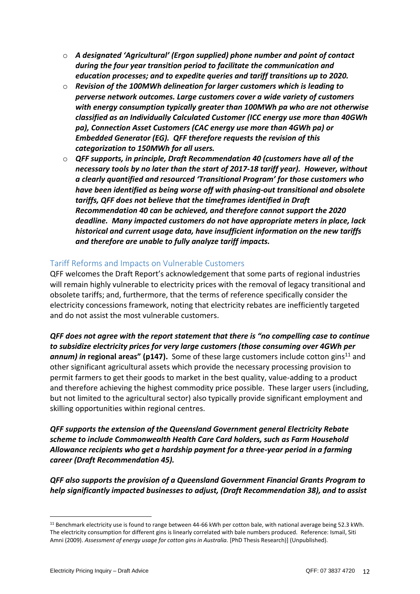- o *A designated 'Agricultural' (Ergon supplied) phone number and point of contact during the four year transition period to facilitate the communication and education processes; and to expedite queries and tariff transitions up to 2020.*
- o *Revision of the 100MWh delineation for larger customers which is leading to perverse network outcomes. Large customers cover a wide variety of customers with energy consumption typically greater than 100MWh pa who are not otherwise classified as an Individually Calculated Customer (ICC energy use more than 40GWh pa), Connection Asset Customers (CAC energy use more than 4GWh pa) or Embedded Generator (EG). QFF therefore requests the revision of this categorization to 150MWh for all users.*
- o *QFF supports, in principle, Draft Recommendation 40 (customers have all of the necessary tools by no later than the start of 2017-18 tariff year). However, without a clearly quantified and resourced 'Transitional Program' for those customers who have been identified as being worse off with phasing-out transitional and obsolete tariffs, QFF does not believe that the timeframes identified in Draft Recommendation 40 can be achieved, and therefore cannot support the 2020 deadline. Many impacted customers do not have appropriate meters in place, lack historical and current usage data, have insufficient information on the new tariffs and therefore are unable to fully analyze tariff impacts.*

### Tariff Reforms and Impacts on Vulnerable Customers

QFF welcomes the Draft Report's acknowledgement that some parts of regional industries will remain highly vulnerable to electricity prices with the removal of legacy transitional and obsolete tariffs; and, furthermore, that the terms of reference specifically consider the electricity concessions framework, noting that electricity rebates are inefficiently targeted and do not assist the most vulnerable customers.

*QFF does not agree with the report statement that there is "no compelling case to continue to subsidize electricity prices for very large customers (those consuming over 4GWh per*  **annum) in regional areas" (p147).** Some of these large customers include cotton gins<sup>11</sup> and other significant agricultural assets which provide the necessary processing provision to permit farmers to get their goods to market in the best quality, value-adding to a product and therefore achieving the highest commodity price possible. These larger users (including, but not limited to the agricultural sector) also typically provide significant employment and skilling opportunities within regional centres.

*QFF supports the extension of the Queensland Government general Electricity Rebate scheme to include Commonwealth Health Care Card holders, such as Farm Household Allowance recipients who get a hardship payment for a three-year period in a farming career (Draft Recommendation 45).* 

*QFF also supports the provision of a Queensland Government Financial Grants Program to help significantly impacted businesses to adjust, (Draft Recommendation 38), and to assist* 

<sup>11</sup> Benchmark electricity use is found to range between 44-66 kWh per cotton bale, with national average being 52.3 kWh. The electricity consumption for different gins is linearly correlated with bale numbers produced. Reference: Ismail, Siti Amni (2009). *Assessment of energy usage for cotton gins in Australia.* [PhD Thesis Research)] (Unpublished).